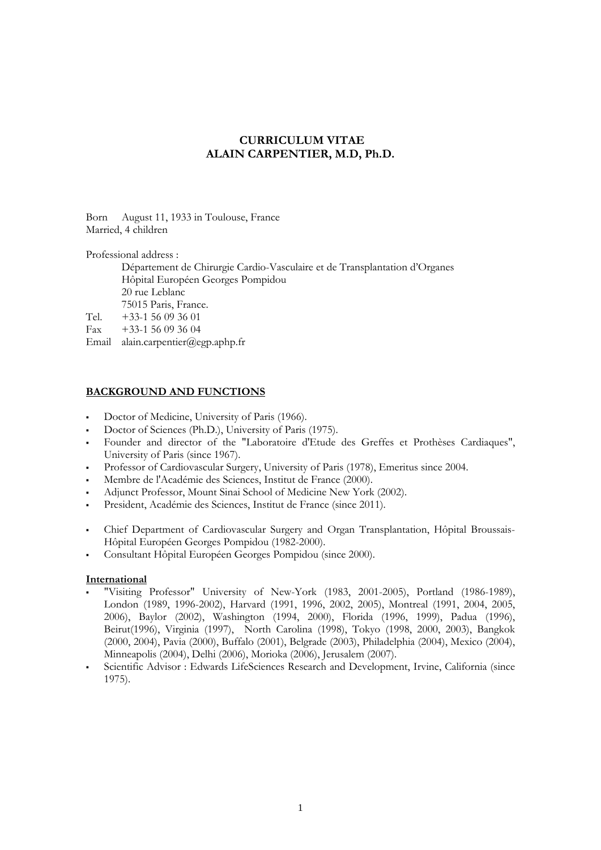# **CURRICULUM VITAE ALAIN CARPENTIER, M.D, Ph.D.**

Born August 11, 1933 in Toulouse, France Married, 4 children

Professional address :

 Département de Chirurgie Cardio-Vasculaire et de Transplantation d'Organes Hôpital Européen Georges Pompidou 20 rue Leblanc 75015 Paris, France.<br>Tel.  $+33-156093601$  $+33-1$  56 09 36 01 Fax  $+33-1,56,09,36,04$ 

Email alain.carpentier@egp.aphp.fr

### **BACKGROUND AND FUNCTIONS**

- Doctor of Medicine, University of Paris (1966).
- Doctor of Sciences (Ph.D.), University of Paris (1975).
- Founder and director of the "Laboratoire d'Etude des Greffes et Prothèses Cardiaques", University of Paris (since 1967).
- Professor of Cardiovascular Surgery, University of Paris (1978), Emeritus since 2004.
- Membre de l'Académie des Sciences, Institut de France (2000).
- Adjunct Professor, Mount Sinai School of Medicine New York (2002).
- President, Académie des Sciences, Institut de France (since 2011).
- Chief Department of Cardiovascular Surgery and Organ Transplantation, Hôpital Broussais-Hôpital Européen Georges Pompidou (1982-2000).
- Consultant Hôpital Européen Georges Pompidou (since 2000).

#### **International**

- "Visiting Professor" University of New-York (1983, 2001-2005), Portland (1986-1989), London (1989, 1996-2002), Harvard (1991, 1996, 2002, 2005), Montreal (1991, 2004, 2005, 2006), Baylor (2002), Washington (1994, 2000), Florida (1996, 1999), Padua (1996), Beirut(1996), Virginia (1997), North Carolina (1998), Tokyo (1998, 2000, 2003), Bangkok (2000, 2004), Pavia (2000), Buffalo (2001), Belgrade (2003), Philadelphia (2004), Mexico (2004), Minneapolis (2004), Delhi (2006), Morioka (2006), Jerusalem (2007).
- Scientific Advisor : Edwards LifeSciences Research and Development, Irvine, California (since 1975).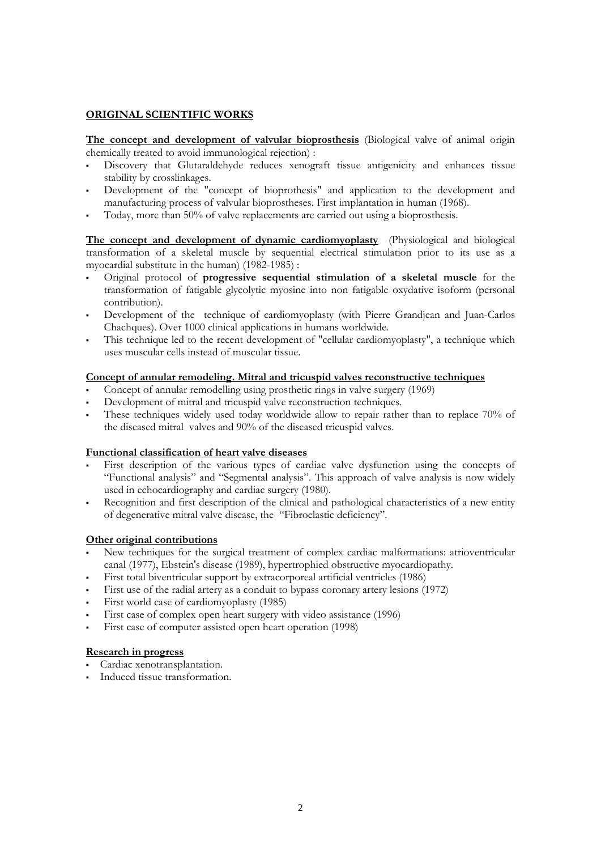## **ORIGINAL SCIENTIFIC WORKS**

**The concept and development of valvular bioprosthesis** (Biological valve of animal origin chemically treated to avoid immunological rejection) :

- Discovery that Glutaraldehyde reduces xenograft tissue antigenicity and enhances tissue stability by crosslinkages.
- Development of the "concept of bioprothesis" and application to the development and manufacturing process of valvular bioprostheses. First implantation in human (1968).
- Today, more than 50% of valve replacements are carried out using a bioprosthesis.

**The concept and development of dynamic cardiomyoplasty** (Physiological and biological transformation of a skeletal muscle by sequential electrical stimulation prior to its use as a myocardial substitute in the human) (1982-1985) :

- Original protocol of **progressive sequential stimulation of a skeletal muscle** for the transformation of fatigable glycolytic myosine into non fatigable oxydative isoform (personal contribution).
- Development of the technique of cardiomyoplasty (with Pierre Grandjean and Juan-Carlos Chachques). Over 1000 clinical applications in humans worldwide.
- This technique led to the recent development of "cellular cardiomyoplasty", a technique which uses muscular cells instead of muscular tissue.

### **Concept of annular remodeling. Mitral and tricuspid valves reconstructive techniques**

- Concept of annular remodelling using prosthetic rings in valve surgery (1969)
- Development of mitral and tricuspid valve reconstruction techniques.
- These techniques widely used today worldwide allow to repair rather than to replace 70% of the diseased mitral valves and 90% of the diseased tricuspid valves.

#### **Functional classification of heart valve diseases**

- First description of the various types of cardiac valve dysfunction using the concepts of "Functional analysis" and "Segmental analysis". This approach of valve analysis is now widely used in echocardiography and cardiac surgery (1980).
- Recognition and first description of the clinical and pathological characteristics of a new entity of degenerative mitral valve disease, the "Fibroelastic deficiency".

### **Other original contributions**

- New techniques for the surgical treatment of complex cardiac malformations: atrioventricular canal (1977), Ebstein's disease (1989), hypertrophied obstructive myocardiopathy.
- First total biventricular support by extracorporeal artificial ventricles (1986)
- First use of the radial artery as a conduit to bypass coronary artery lesions (1972)
- First world case of cardiomyoplasty (1985)
- First case of complex open heart surgery with video assistance (1996)
- First case of computer assisted open heart operation (1998)

#### **Research in progress**

- Cardiac xenotransplantation.
- Induced tissue transformation.